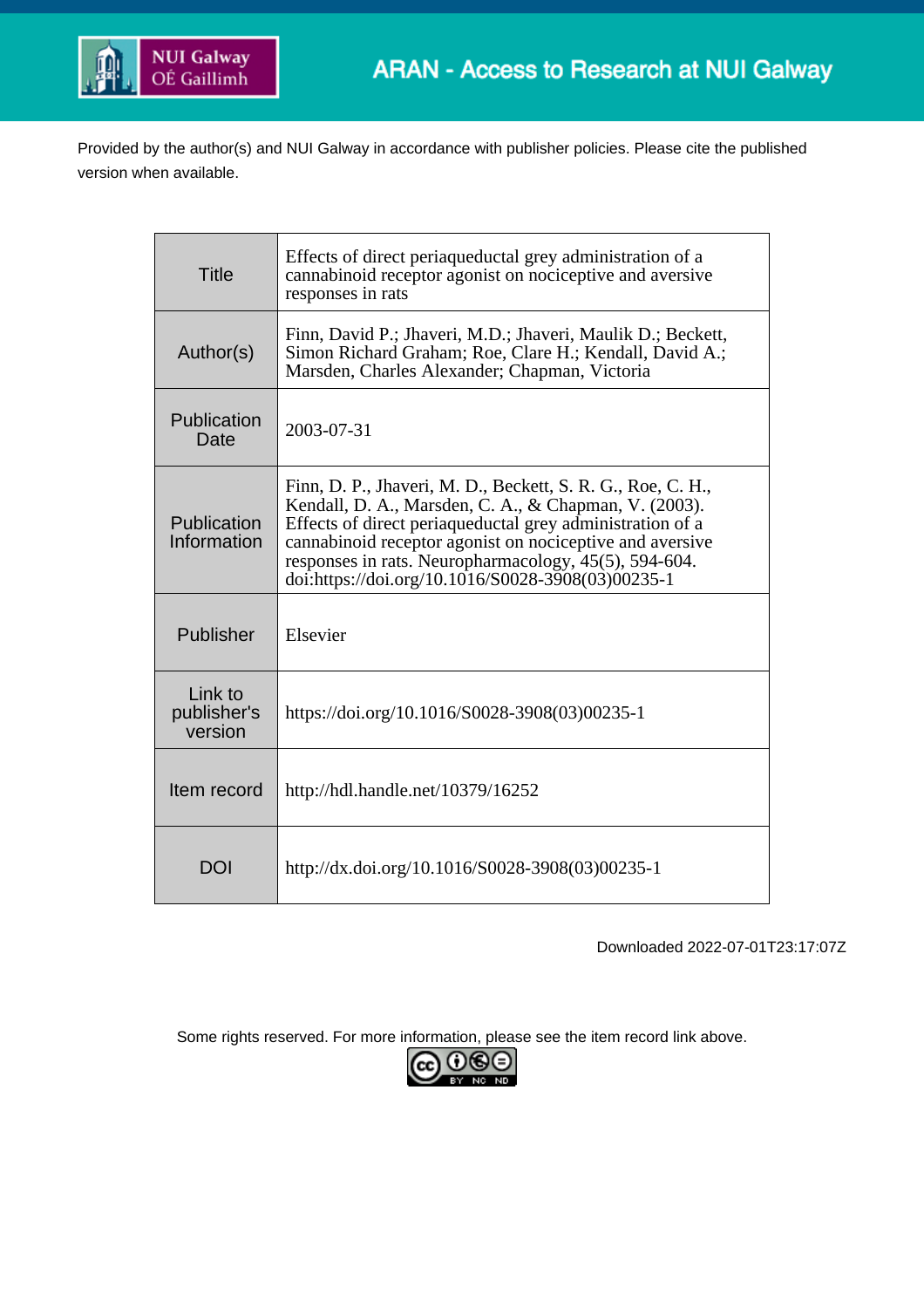

Provided by the author(s) and NUI Galway in accordance with publisher policies. Please cite the published version when available.

| <b>Title</b>                      | Effects of direct periaqueductal grey administration of a<br>cannabinoid receptor agonist on nociceptive and aversive<br>responses in rats                                                                                                                                                                                                                  |
|-----------------------------------|-------------------------------------------------------------------------------------------------------------------------------------------------------------------------------------------------------------------------------------------------------------------------------------------------------------------------------------------------------------|
| Author(s)                         | Finn, David P.; Jhaveri, M.D.; Jhaveri, Maulik D.; Beckett,<br>Simon Richard Graham; Roe, Clare H.; Kendall, David A.;<br>Marsden, Charles Alexander; Chapman, Victoria                                                                                                                                                                                     |
| Publication<br>Date               | 2003-07-31                                                                                                                                                                                                                                                                                                                                                  |
| Publication<br>Information        | Finn, D. P., Jhaveri, M. D., Beckett, S. R. G., Roe, C. H.,<br>Kendall, D. A., Marsden, C. A., & Chapman, V. (2003).<br>Effects of direct periaqueductal grey administration of a<br>cannabinoid receptor agonist on nociceptive and aversive<br>responses in rats. Neuropharmacology, 45(5), 594-604.<br>doi:https://doi.org/10.1016/S0028-3908(03)00235-1 |
| Publisher                         | Elsevier                                                                                                                                                                                                                                                                                                                                                    |
| Link to<br>publisher's<br>version | https://doi.org/10.1016/S0028-3908(03)00235-1                                                                                                                                                                                                                                                                                                               |
| Item record                       | http://hdl.handle.net/10379/16252                                                                                                                                                                                                                                                                                                                           |
| <b>DOI</b>                        | http://dx.doi.org/10.1016/S0028-3908(03)00235-1                                                                                                                                                                                                                                                                                                             |

Downloaded 2022-07-01T23:17:07Z

Some rights reserved. For more information, please see the item record link above.

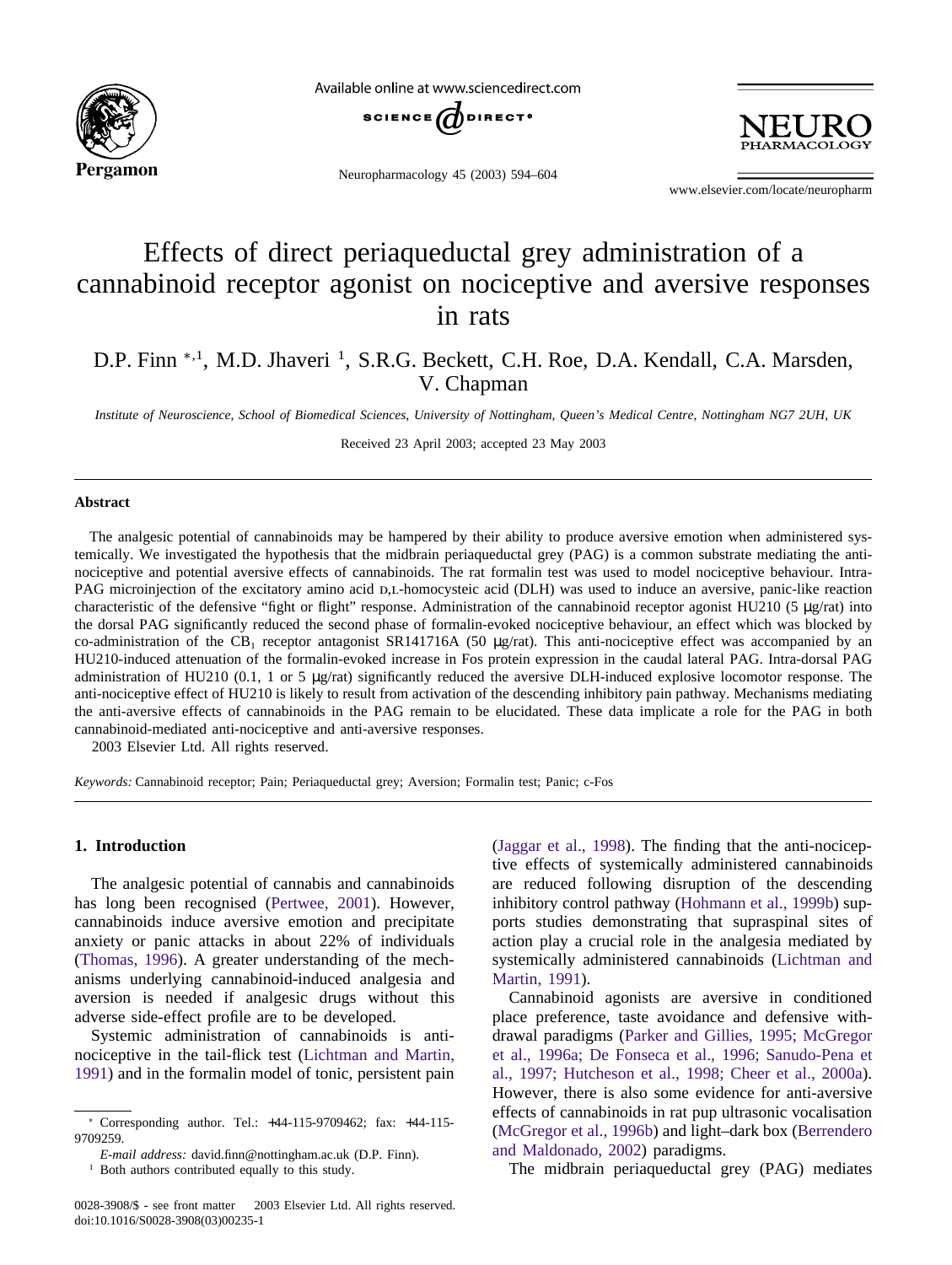

Available online at www.sciencedirect.com



Neuropharmacology 45 (2003) 594–604



www.elsevier.com/locate/neuropharm

# Effects of direct periaqueductal grey administration of a cannabinoid receptor agonist on nociceptive and aversive responses in rats

D.P. Finn <sup>\*,1</sup>, M.D. Jhaveri<sup>1</sup>, S.R.G. Beckett, C.H. Roe, D.A. Kendall, C.A. Marsden, V. Chapman

*Institute of Neuroscience, School of Biomedical Sciences, University of Nottingham, Queen's Medical Centre, Nottingham NG7 2UH, UK*

Received 23 April 2003; accepted 23 May 2003

#### **Abstract**

The analgesic potential of cannabinoids may be hampered by their ability to produce aversive emotion when administered systemically. We investigated the hypothesis that the midbrain periaqueductal grey (PAG) is a common substrate mediating the antinociceptive and potential aversive effects of cannabinoids. The rat formalin test was used to model nociceptive behaviour. Intra-PAG microinjection of the excitatory amino acid  $D<sub>L</sub>$ -homocysteic acid (DLH) was used to induce an aversive, panic-like reaction characteristic of the defensive "fight or flight" response. Administration of the cannabinoid receptor agonist HU210 (5 µg/rat) into the dorsal PAG significantly reduced the second phase of formalin-evoked nociceptive behaviour, an effect which was blocked by co-administration of the CB<sub>1</sub> receptor antagonist SR141716A (50 µg/rat). This anti-nociceptive effect was accompanied by an HU210-induced attenuation of the formalin-evoked increase in Fos protein expression in the caudal lateral PAG. Intra-dorsal PAG administration of HU210 (0.1, 1 or 5 µg/rat) significantly reduced the aversive DLH-induced explosive locomotor response. The anti-nociceptive effect of HU210 is likely to result from activation of the descending inhibitory pain pathway. Mechanisms mediating the anti-aversive effects of cannabinoids in the PAG remain to be elucidated. These data implicate a role for the PAG in both cannabinoid-mediated anti-nociceptive and anti-aversive responses.

2003 Elsevier Ltd. All rights reserved.

*Keywords:* Cannabinoid receptor; Pain; Periaqueductal grey; Aversion; Formalin test; Panic; c-Fos

## **1. Introduction**

The analgesic potential of cannabis and cannabinoids has long been recognised [\(Pertwee, 2001\)](#page-10-0). However, cannabinoids induce aversive emotion and precipitate anxiety or panic attacks in about 22% of individuals [\(Thomas, 1996\)](#page-11-0). A greater understanding of the mechanisms underlying cannabinoid-induced analgesia and aversion is needed if analgesic drugs without this adverse side-effect profile are to be developed.

Systemic administration of cannabinoids is antinociceptive in the tail-flick test [\(Lichtman and Martin,](#page-10-0) [1991\)](#page-10-0) and in the formalin model of tonic, persistent pain [\(Jaggar et al., 1998\)](#page-10-0). The finding that the anti-nociceptive effects of systemically administered cannabinoids are reduced following disruption of the descending inhibitory control pathway [\(Hohmann et al., 1999b\)](#page-10-0) supports studies demonstrating that supraspinal sites of action play a crucial role in the analgesia mediated by systemically administered cannabinoids [\(Lichtman and](#page-10-0) [Martin, 1991\)](#page-10-0).

Cannabinoid agonists are aversive in conditioned place preference, taste avoidance and defensive withdrawal paradigms [\(Parker and Gillies, 1995; McGregor](#page-10-0) [et al., 1996a; De Fonseca et al., 1996; Sanudo-Pena et](#page-10-0) [al., 1997; Hutcheson et al., 1998; Cheer et al., 2000a\)](#page-10-0). However, there is also some evidence for anti-aversive effects of cannabinoids in rat pup ultrasonic vocalisation [\(McGregor et al., 1996b\)](#page-10-0) and light–dark box [\(Berrendero](#page-10-0) [and Maldonado, 2002\)](#page-10-0) paradigms.

The midbrain periaqueductal grey (PAG) mediates

<sup>∗</sup> Corresponding author. Tel.: +44-115-9709462; fax: +44-115- 9709259.

*E-mail address:* david.finn@nottingham.ac.uk (D.P. Finn).

<sup>&</sup>lt;sup>1</sup> Both authors contributed equally to this study.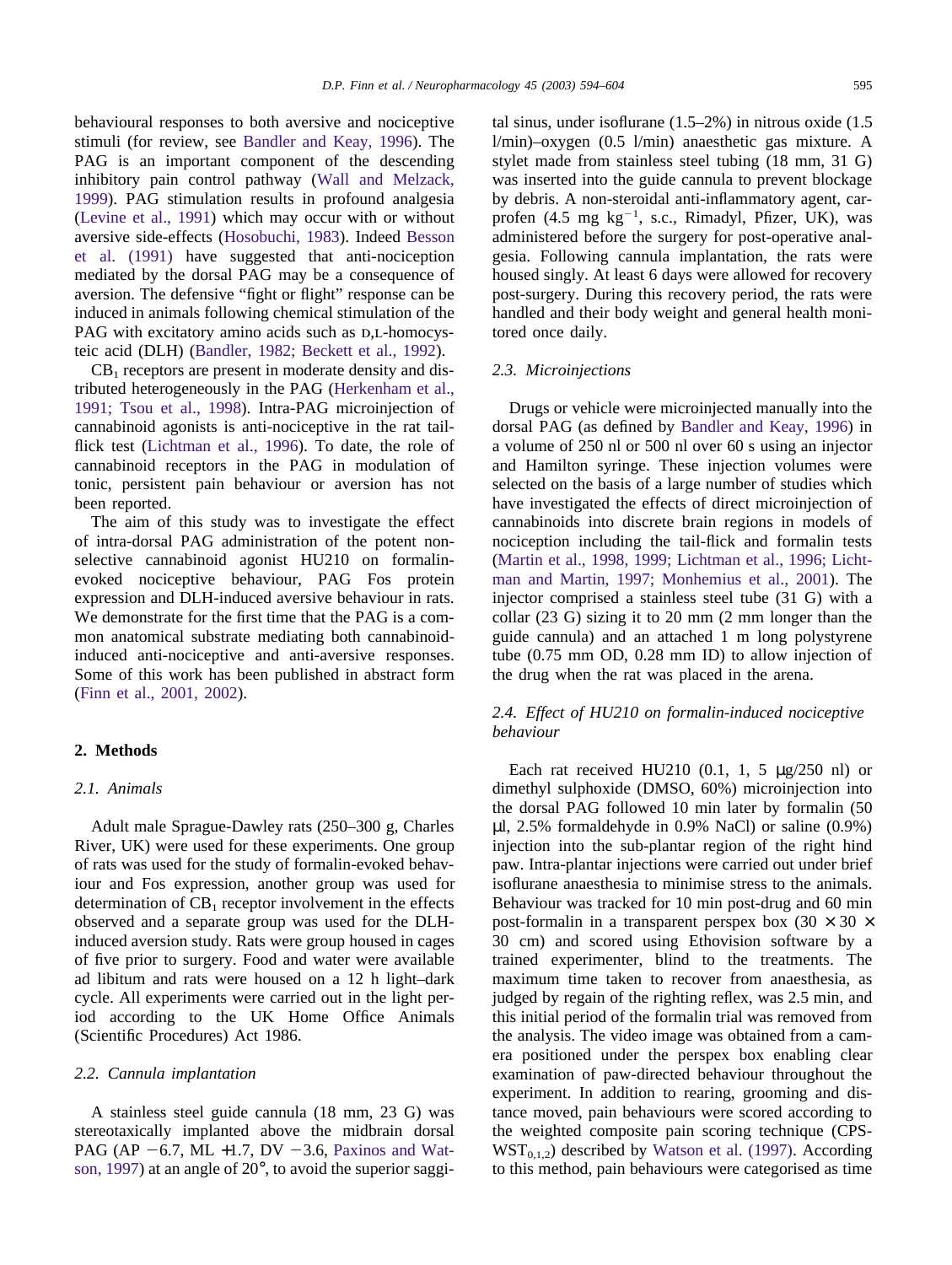behavioural responses to both aversive and nociceptive stimuli (for review, see [Bandler and Keay, 1996\)](#page-10-0). The PAG is an important component of the descending inhibitory pain control pathway [\(Wall and Melzack,](#page-11-0) [1999\)](#page-11-0). PAG stimulation results in profound analgesia [\(Levine et al., 1991\)](#page-10-0) which may occur with or without aversive side-effects [\(Hosobuchi, 1983\)](#page-10-0). Indeed [Besson](#page-10-0) [et al. \(1991\)](#page-10-0) have suggested that anti-nociception mediated by the dorsal PAG may be a consequence of aversion. The defensive "fight or flight" response can be induced in animals following chemical stimulation of the PAG with excitatory amino acids such as  $D,L$ -homocysteic acid (DLH) [\(Bandler, 1982; Beckett et al., 1992\)](#page-9-0).

 $CB<sub>1</sub>$  receptors are present in moderate density and distributed heterogeneously in the PAG [\(Herkenham et al.,](#page-10-0) [1991; Tsou et al., 1998\)](#page-10-0). Intra-PAG microinjection of cannabinoid agonists is anti-nociceptive in the rat tailflick test [\(Lichtman et al., 1996\)](#page-10-0). To date, the role of cannabinoid receptors in the PAG in modulation of tonic, persistent pain behaviour or aversion has not been reported.

The aim of this study was to investigate the effect of intra-dorsal PAG administration of the potent nonselective cannabinoid agonist HU210 on formalinevoked nociceptive behaviour, PAG Fos protein expression and DLH-induced aversive behaviour in rats. We demonstrate for the first time that the PAG is a common anatomical substrate mediating both cannabinoidinduced anti-nociceptive and anti-aversive responses. Some of this work has been published in abstract form [\(Finn et al., 2001, 2002\)](#page-10-0).

#### **2. Methods**

#### *2.1. Animals*

Adult male Sprague-Dawley rats (250–300 g, Charles River, UK) were used for these experiments. One group of rats was used for the study of formalin-evoked behaviour and Fos expression, another group was used for determination of  $CB_1$  receptor involvement in the effects observed and a separate group was used for the DLHinduced aversion study. Rats were group housed in cages of five prior to surgery. Food and water were available ad libitum and rats were housed on a 12 h light–dark cycle. All experiments were carried out in the light period according to the UK Home Office Animals (Scientific Procedures) Act 1986.

#### *2.2. Cannula implantation*

A stainless steel guide cannula (18 mm, 23 G) was stereotaxically implanted above the midbrain dorsal PAG (AP  $-6.7$ , ML  $+1.7$ , DV  $-3.6$ , [Paxinos and Wat](#page-10-0)[son, 1997\)](#page-10-0) at an angle of 20°, to avoid the superior saggital sinus, under isoflurane (1.5–2%) in nitrous oxide (1.5 l/min)–oxygen (0.5 l/min) anaesthetic gas mixture. A stylet made from stainless steel tubing (18 mm, 31 G) was inserted into the guide cannula to prevent blockage by debris. A non-steroidal anti-inflammatory agent, carprofen  $(4.5 \text{ mg kg}^{-1}, \text{ s.c., Rimadyl, Pfizer, UK}),$  was administered before the surgery for post-operative analgesia. Following cannula implantation, the rats were housed singly. At least 6 days were allowed for recovery post-surgery. During this recovery period, the rats were handled and their body weight and general health monitored once daily.

#### *2.3. Microinjections*

Drugs or vehicle were microinjected manually into the dorsal PAG (as defined by [Bandler and Keay, 1996\)](#page-10-0) in a volume of 250 nl or 500 nl over 60 s using an injector and Hamilton syringe. These injection volumes were selected on the basis of a large number of studies which have investigated the effects of direct microinjection of cannabinoids into discrete brain regions in models of nociception including the tail-flick and formalin tests [\(Martin et al., 1998, 1999; Lichtman et al., 1996; Licht](#page-10-0)[man and Martin, 1997; Monhemius et al., 2001\)](#page-10-0). The injector comprised a stainless steel tube (31 G) with a collar (23 G) sizing it to 20 mm (2 mm longer than the guide cannula) and an attached 1 m long polystyrene tube (0.75 mm OD, 0.28 mm ID) to allow injection of the drug when the rat was placed in the arena.

## *2.4. Effect of HU210 on formalin-induced nociceptive behaviour*

Each rat received HU210  $(0.1, 1, 5 \mu g/250 \text{ nl})$  or dimethyl sulphoxide (DMSO, 60%) microinjection into the dorsal PAG followed 10 min later by formalin (50  $\mu$ l, 2.5% formaldehyde in 0.9% NaCl) or saline (0.9%) injection into the sub-plantar region of the right hind paw. Intra-plantar injections were carried out under brief isoflurane anaesthesia to minimise stress to the animals. Behaviour was tracked for 10 min post-drug and 60 min post-formalin in a transparent perspex box (30  $\times$  30  $\times$ 30 cm) and scored using Ethovision software by a trained experimenter, blind to the treatments. The maximum time taken to recover from anaesthesia, as judged by regain of the righting reflex, was 2.5 min, and this initial period of the formalin trial was removed from the analysis. The video image was obtained from a camera positioned under the perspex box enabling clear examination of paw-directed behaviour throughout the experiment. In addition to rearing, grooming and distance moved, pain behaviours were scored according to the weighted composite pain scoring technique (CPS- $WST_{0,1,2}$ ) described by [Watson et al. \(1997\).](#page-11-0) According to this method, pain behaviours were categorised as time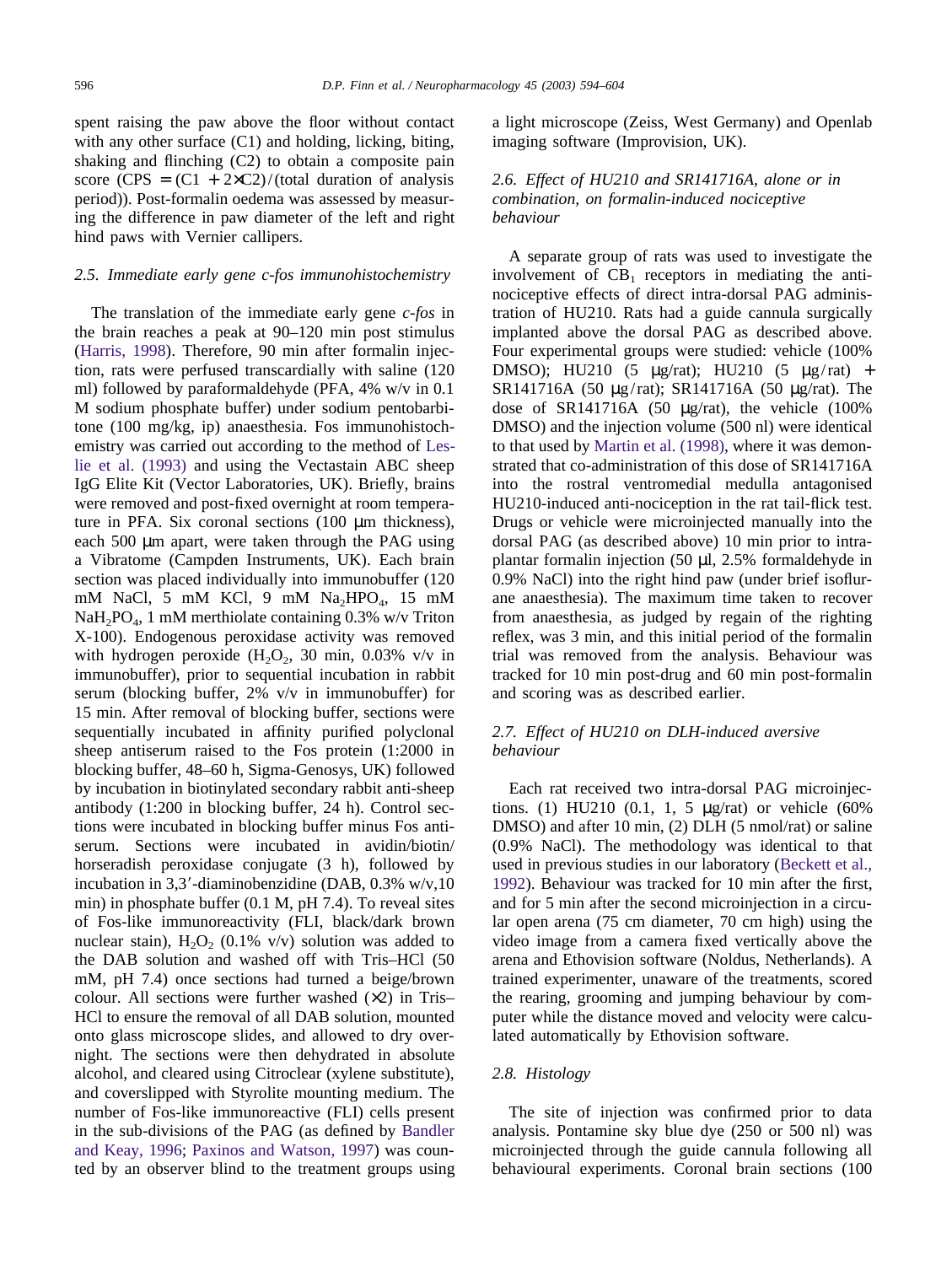spent raising the paw above the floor without contact with any other surface  $(C1)$  and holding, licking, biting, shaking and flinching (C2) to obtain a composite pain score (CPS =  $(C1 + 2 \times C2)$ /(total duration of analysis period)). Post-formalin oedema was assessed by measuring the difference in paw diameter of the left and right hind paws with Vernier callipers.

#### *2.5. Immediate early gene c-fos immunohistochemistry*

The translation of the immediate early gene *c-fos* in the brain reaches a peak at 90–120 min post stimulus [\(Harris, 1998\)](#page-10-0). Therefore, 90 min after formalin injection, rats were perfused transcardially with saline (120 ml) followed by paraformaldehyde (PFA, 4% w/v in 0.1 M sodium phosphate buffer) under sodium pentobarbitone (100 mg/kg, ip) anaesthesia. Fos immunohistochemistry was carried out according to the method of [Les](#page-10-0)[lie et al. \(1993\)](#page-10-0) and using the Vectastain ABC sheep IgG Elite Kit (Vector Laboratories, UK). Briefly, brains were removed and post-fixed overnight at room temperature in PFA. Six coronal sections (100 µm thickness), each 500  $\mu$ m apart, were taken through the PAG using a Vibratome (Campden Instruments, UK). Each brain section was placed individually into immunobuffer (120 mM NaCl, 5 mM KCl, 9 mM  $Na<sub>2</sub>HPO<sub>4</sub>$ , 15 mM NaH<sub>2</sub>PO<sub>4</sub>, 1 mM merthiolate containing 0.3% w/v Triton X-100). Endogenous peroxidase activity was removed with hydrogen peroxide  $(H_2O_2, 30 \text{ min}, 0.03\% \text{ v/v in})$ immunobuffer), prior to sequential incubation in rabbit serum (blocking buffer, 2% v/v in immunobuffer) for 15 min. After removal of blocking buffer, sections were sequentially incubated in affinity purified polyclonal sheep antiserum raised to the Fos protein (1:2000 in blocking buffer, 48–60 h, Sigma-Genosys, UK) followed by incubation in biotinylated secondary rabbit anti-sheep antibody (1:200 in blocking buffer, 24 h). Control sections were incubated in blocking buffer minus Fos antiserum. Sections were incubated in avidin/biotin/ horseradish peroxidase conjugate (3 h), followed by incubation in 3,3--diaminobenzidine (DAB, 0.3% w/v,10 min) in phosphate buffer (0.1 M, pH 7.4). To reveal sites of Fos-like immunoreactivity (FLI, black/dark brown nuclear stain),  $H_2O_2$  (0.1% v/v) solution was added to the DAB solution and washed off with Tris–HCl (50 mM, pH 7.4) once sections had turned a beige/brown colour. All sections were further washed  $(x2)$  in Tris– HCl to ensure the removal of all DAB solution, mounted onto glass microscope slides, and allowed to dry overnight. The sections were then dehydrated in absolute alcohol, and cleared using Citroclear (xylene substitute), and coverslipped with Styrolite mounting medium. The number of Fos-like immunoreactive (FLI) cells present in the sub-divisions of the PAG (as defined by [Bandler](#page-10-0) [and Keay, 1996;](#page-10-0) [Paxinos and Watson, 1997\)](#page-10-0) was counted by an observer blind to the treatment groups using a light microscope (Zeiss, West Germany) and Openlab imaging software (Improvision, UK).

## *2.6. Effect of HU210 and SR141716A, alone or in combination, on formalin-induced nociceptive behaviour*

A separate group of rats was used to investigate the involvement of  $CB_1$  receptors in mediating the antinociceptive effects of direct intra-dorsal PAG administration of HU210. Rats had a guide cannula surgically implanted above the dorsal PAG as described above. Four experimental groups were studied: vehicle (100% DMSO); HU210 (5 µg/rat); HU210 (5 µg/rat) + SR141716A (50 µg/rat); SR141716A (50 µg/rat). The dose of SR141716A (50  $\mu$ g/rat), the vehicle (100%) DMSO) and the injection volume (500 nl) were identical to that used by [Martin et al. \(1998\),](#page-10-0) where it was demonstrated that co-administration of this dose of SR141716A into the rostral ventromedial medulla antagonised HU210-induced anti-nociception in the rat tail-flick test. Drugs or vehicle were microinjected manually into the dorsal PAG (as described above) 10 min prior to intraplantar formalin injection (50 µl, 2.5% formaldehyde in 0.9% NaCl) into the right hind paw (under brief isoflurane anaesthesia). The maximum time taken to recover from anaesthesia, as judged by regain of the righting reflex, was 3 min, and this initial period of the formalin trial was removed from the analysis. Behaviour was tracked for 10 min post-drug and 60 min post-formalin and scoring was as described earlier.

## *2.7. Effect of HU210 on DLH-induced aversive behaviour*

Each rat received two intra-dorsal PAG microinjections. (1) HU210 (0.1, 1, 5  $\mu$ g/rat) or vehicle (60%) DMSO) and after 10 min, (2) DLH (5 nmol/rat) or saline (0.9% NaCl). The methodology was identical to that used in previous studies in our laboratory [\(Beckett et al.,](#page-10-0) [1992\)](#page-10-0). Behaviour was tracked for 10 min after the first, and for 5 min after the second microinjection in a circular open arena (75 cm diameter, 70 cm high) using the video image from a camera fixed vertically above the arena and Ethovision software (Noldus, Netherlands). A trained experimenter, unaware of the treatments, scored the rearing, grooming and jumping behaviour by computer while the distance moved and velocity were calculated automatically by Ethovision software.

#### *2.8. Histology*

The site of injection was confirmed prior to data analysis. Pontamine sky blue dye (250 or 500 nl) was microinjected through the guide cannula following all behavioural experiments. Coronal brain sections (100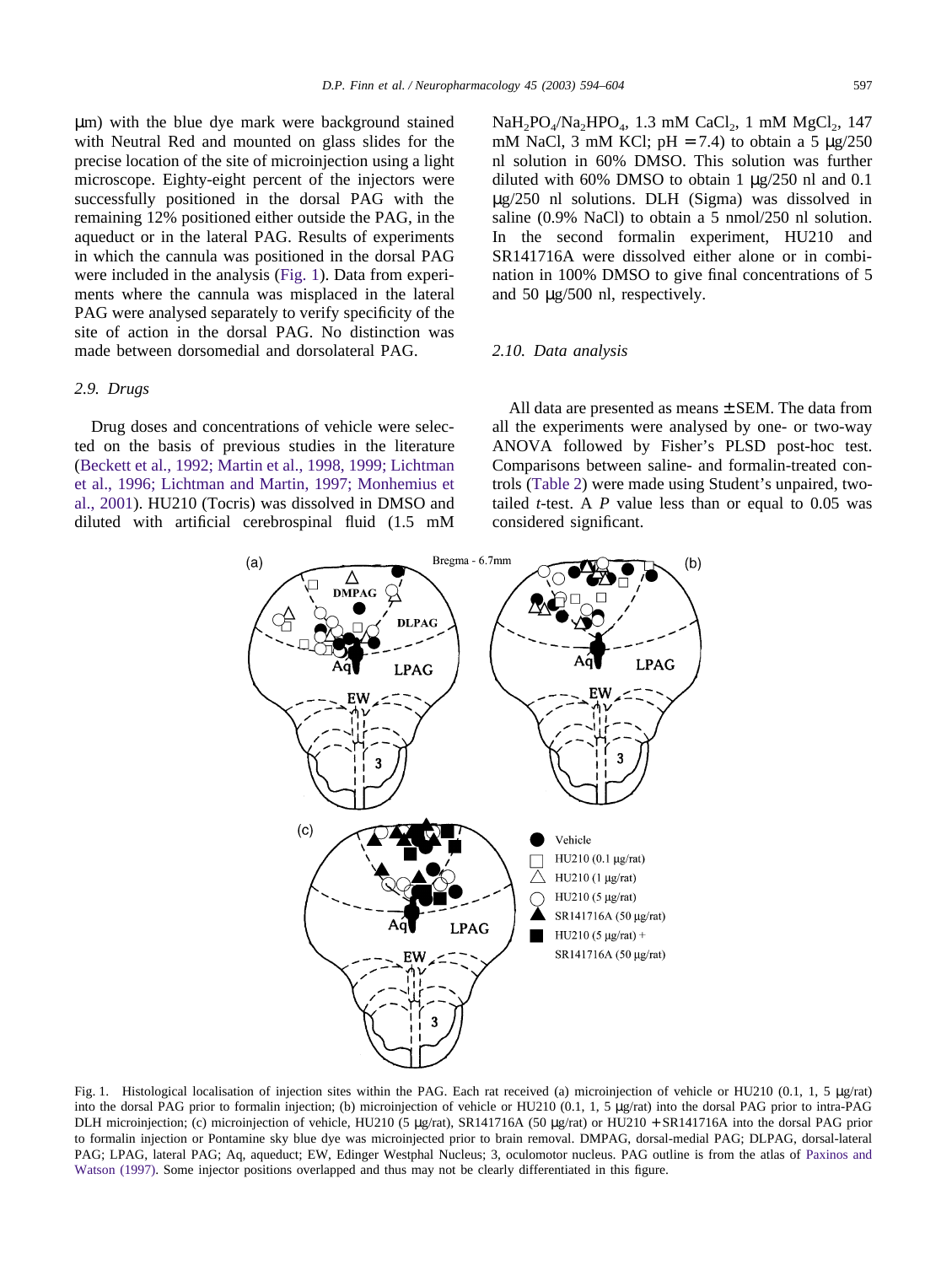µm) with the blue dye mark were background stained with Neutral Red and mounted on glass slides for the precise location of the site of microinjection using a light microscope. Eighty-eight percent of the injectors were successfully positioned in the dorsal PAG with the remaining 12% positioned either outside the PAG, in the aqueduct or in the lateral PAG. Results of experiments in which the cannula was positioned in the dorsal PAG were included in the analysis (Fig. 1). Data from experiments where the cannula was misplaced in the lateral PAG were analysed separately to verify specificity of the site of action in the dorsal PAG. No distinction was made between dorsomedial and dorsolateral PAG.

## *2.9. Drugs*

Drug doses and concentrations of vehicle were selected on the basis of previous studies in the literature [\(Beckett et al., 1992; Martin et al., 1998, 1999; Lichtman](#page-10-0) [et al., 1996; Lichtman and Martin, 1997; Monhemius et](#page-10-0) [al., 2001\)](#page-10-0). HU210 (Tocris) was dissolved in DMSO and diluted with artificial cerebrospinal fluid (1.5 mM  $NaH_2PO_4/Na_2HPO_4$ , 1.3 mM CaCl<sub>2</sub>, 1 mM MgCl<sub>2</sub>, 147 mM NaCl, 3 mM KCl;  $pH = 7.4$ ) to obtain a 5  $\mu$ g/250 nl solution in 60% DMSO. This solution was further diluted with 60% DMSO to obtain 1 µg/250 nl and 0.1 µg/250 nl solutions. DLH (Sigma) was dissolved in saline (0.9% NaCl) to obtain a 5 nmol/250 nl solution. In the second formalin experiment, HU210 and SR141716A were dissolved either alone or in combination in 100% DMSO to give final concentrations of 5 and 50 µg/500 nl, respectively.

### *2.10. Data analysis*

All data are presented as means  $\pm$  SEM. The data from all the experiments were analysed by one- or two-way ANOVA followed by Fisher's PLSD post-hoc test. Comparisons between saline- and formalin-treated controls [\(Table 2\)](#page-5-0) were made using Student's unpaired, twotailed *t*-test. A *P* value less than or equal to 0.05 was considered significant.



Fig. 1. Histological localisation of injection sites within the PAG. Each rat received (a) microinjection of vehicle or HU210 (0.1, 1, 5 µg/rat) into the dorsal PAG prior to formalin injection; (b) microinjection of vehicle or HU210 (0.1, 1, 5 µg/rat) into the dorsal PAG prior to intra-PAG DLH microinjection; (c) microinjection of vehicle, HU210 (5 µg/rat), SR141716A (50 µg/rat) or HU210 + SR141716A into the dorsal PAG prior to formalin injection or Pontamine sky blue dye was microinjected prior to brain removal. DMPAG, dorsal-medial PAG; DLPAG, dorsal-lateral PAG; LPAG, lateral PAG; Aq, aqueduct; EW, Edinger Westphal Nucleus; 3, oculomotor nucleus. PAG outline is from the atlas of [Paxinos and](#page-10-0) [Watson \(1997\).](#page-10-0) Some injector positions overlapped and thus may not be clearly differentiated in this figure.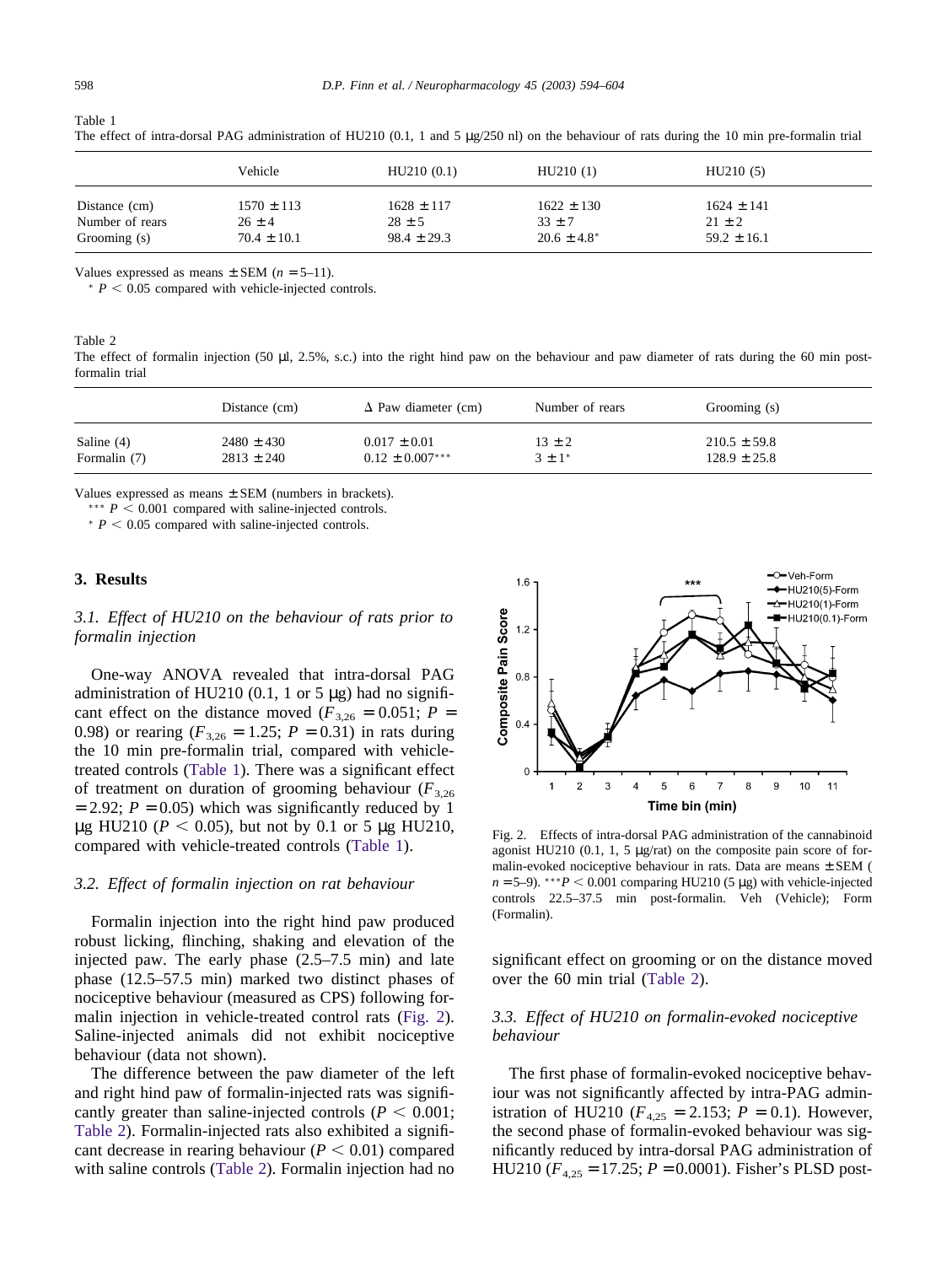|                 | Vehicle         | HU210(0.1)      | HU210(1)         | HU210(5)        |  |
|-----------------|-----------------|-----------------|------------------|-----------------|--|
| Distance (cm)   | $1570 \pm 113$  | $1628 \pm 117$  | $1622 \pm 130$   | $1624 \pm 141$  |  |
| Number of rears | $26 \pm 4$      | $28 \pm 5$      | $33 \pm 7$       | $21 \pm 2$      |  |
| Grooming (s)    | $70.4 \pm 10.1$ | $98.4 \pm 29.3$ | $20.6 \pm 4.8^*$ | $59.2 \pm 16.1$ |  |

The effect of intra-dorsal PAG administration of HU210 (0.1, 1 and 5 µg/250 nl) on the behaviour of rats during the 10 min pre-formalin trial

Values expressed as means  $\pm$  SEM ( $n = 5-11$ ).

 $* P < 0.05$  compared with vehicle-injected controls.

Table 2

The effect of formalin injection (50 µl, 2.5%, s.c.) into the right hind paw on the behaviour and paw diameter of rats during the 60 min postformalin trial

|              | Distance (cm)  | $\Delta$ Paw diameter (cm) | Number of rears | Grooming (s)     |
|--------------|----------------|----------------------------|-----------------|------------------|
| Saline $(4)$ | $2480 \pm 430$ | $0.017 \pm 0.01$           | $13 \pm 2$      | $210.5 \pm 59.8$ |
| Formalin (7) | $2813 \pm 240$ | $0.12 \pm 0.007***$        | $3 \pm 1^*$     | $128.9 \pm 25.8$ |

Values expressed as means  $\pm$  SEM (numbers in brackets).

 $***$  *P*  $\leq$  0.001 compared with saline-injected controls.

 $* P < 0.05$  compared with saline-injected controls.

## **3. Results**

*3.1. Effect of HU210 on the behaviour of rats prior to formalin injection*

One-way ANOVA revealed that intra-dorsal PAG administration of HU210 (0.1, 1 or 5  $\mu$ g) had no significant effect on the distance moved ( $F_{3,26} = 0.051$ ;  $P =$ 0.98) or rearing  $(F_{3,26} = 1.25; P = 0.31)$  in rats during the 10 min pre-formalin trial, compared with vehicletreated controls (Table 1). There was a significant effect of treatment on duration of grooming behaviour  $(F_{3,26})$  $= 2.92$ ;  $P = 0.05$ ) which was significantly reduced by 1  $\mu$ g HU210 (*P* < 0.05), but not by 0.1 or 5  $\mu$ g HU210, compared with vehicle-treated controls (Table 1).

### *3.2. Effect of formalin injection on rat behaviour*

Formalin injection into the right hind paw produced robust licking, flinching, shaking and elevation of the injected paw. The early phase (2.5–7.5 min) and late phase (12.5–57.5 min) marked two distinct phases of nociceptive behaviour (measured as CPS) following formalin injection in vehicle-treated control rats (Fig. 2). Saline-injected animals did not exhibit nociceptive behaviour (data not shown).

The difference between the paw diameter of the left and right hind paw of formalin-injected rats was significantly greater than saline-injected controls ( $P < 0.001$ ; Table 2). Formalin-injected rats also exhibited a significant decrease in rearing behaviour ( $P < 0.01$ ) compared with saline controls (Table 2). Formalin injection had no



Fig. 2. Effects of intra-dorsal PAG administration of the cannabinoid agonist HU210 (0.1, 1, 5 µg/rat) on the composite pain score of formalin-evoked nociceptive behaviour in rats. Data are means ± SEM (  $n = 5-9$ ). \*\*\* $P < 0.001$  comparing HU210 (5 µg) with vehicle-injected controls 22.5–37.5 min post-formalin. Veh (Vehicle); Form (Formalin).

significant effect on grooming or on the distance moved over the 60 min trial (Table 2).

## *3.3. Effect of HU210 on formalin-evoked nociceptive behaviour*

The first phase of formalin-evoked nociceptive behaviour was not significantly affected by intra-PAG administration of HU210 ( $F_{4,25} = 2.153$ ;  $P = 0.1$ ). However, the second phase of formalin-evoked behaviour was significantly reduced by intra-dorsal PAG administration of HU210 ( $F_{4,25}$  = 17.25;  $P = 0.0001$ ). Fisher's PLSD post-

<span id="page-5-0"></span>Table 1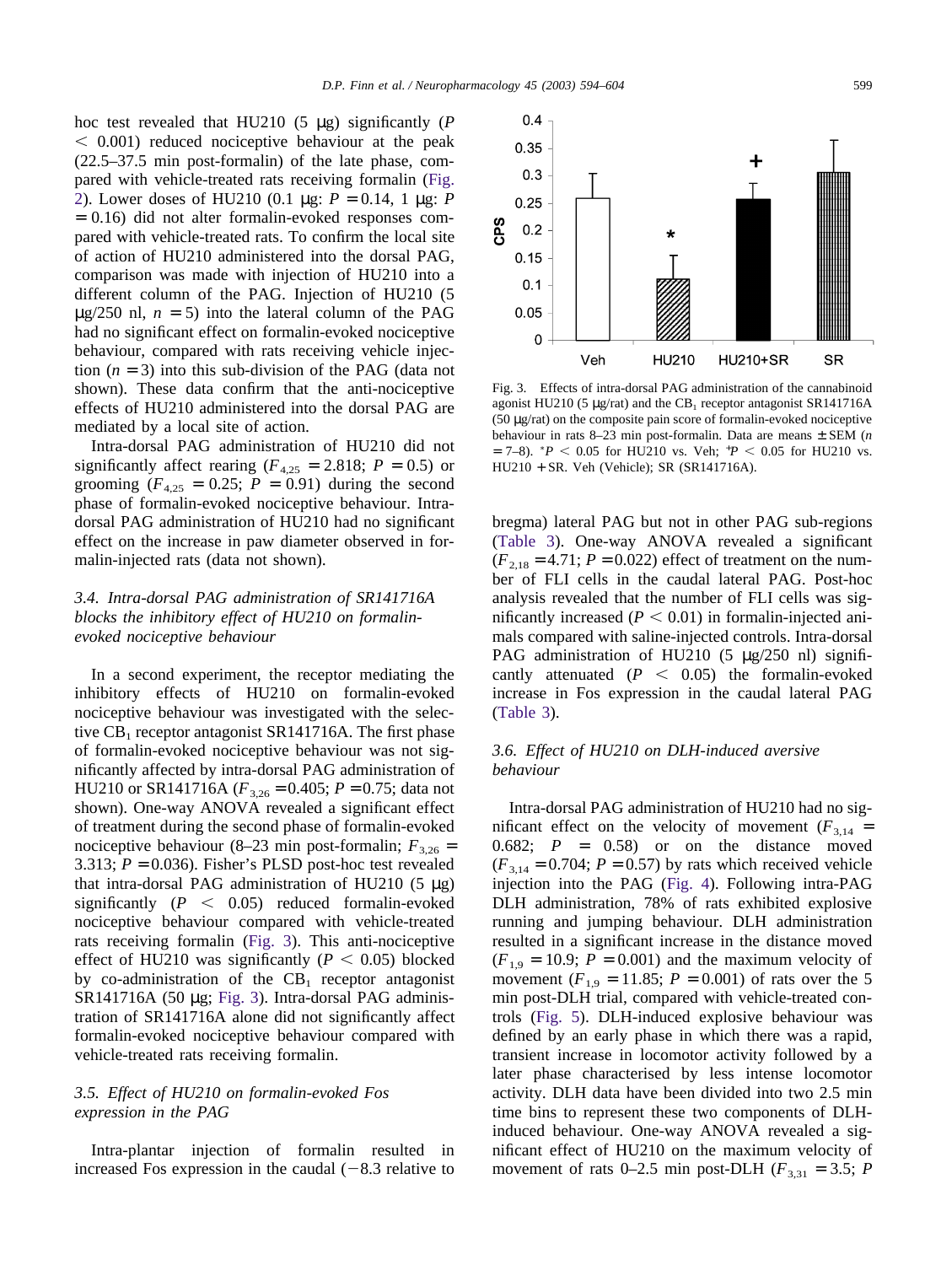hoc test revealed that HU210 (5 µg) significantly (*P*  $0.001$ ) reduced nociceptive behaviour at the peak (22.5–37.5 min post-formalin) of the late phase, compared with vehicle-treated rats receiving formalin [\(Fig.](#page-5-0) [2\)](#page-5-0). Lower doses of HU210 (0.1 µg: *P* = 0.14, 1 µg: *P* = 0.16) did not alter formalin-evoked responses compared with vehicle-treated rats. To confirm the local site of action of HU210 administered into the dorsal PAG, comparison was made with injection of HU210 into a different column of the PAG. Injection of HU210 (5  $\mu$ g/250 nl,  $n = 5$ ) into the lateral column of the PAG had no significant effect on formalin-evoked nociceptive behaviour, compared with rats receiving vehicle injection  $(n = 3)$  into this sub-division of the PAG (data not shown). These data confirm that the anti-nociceptive effects of HU210 administered into the dorsal PAG are mediated by a local site of action.

Intra-dorsal PAG administration of HU210 did not significantly affect rearing ( $F_{4,25}$  = 2.818;  $P = 0.5$ ) or grooming  $(F_{4,25} = 0.25; P = 0.91)$  during the second phase of formalin-evoked nociceptive behaviour. Intradorsal PAG administration of HU210 had no significant effect on the increase in paw diameter observed in formalin-injected rats (data not shown).

## *3.4. Intra-dorsal PAG administration of SR141716A blocks the inhibitory effect of HU210 on formalinevoked nociceptive behaviour*

In a second experiment, the receptor mediating the inhibitory effects of HU210 on formalin-evoked nociceptive behaviour was investigated with the selective  $CB_1$  receptor antagonist SR141716A. The first phase of formalin-evoked nociceptive behaviour was not significantly affected by intra-dorsal PAG administration of HU210 or SR141716A ( $F_{3,26} = 0.405$ ;  $P = 0.75$ ; data not shown). One-way ANOVA revealed a significant effect of treatment during the second phase of formalin-evoked nociceptive behaviour (8–23 min post-formalin;  $F_{3,26}$  = 3.313;  $P = 0.036$ ). Fisher's PLSD post-hoc test revealed that intra-dorsal PAG administration of HU210  $(5 \mu g)$ significantly  $(P < 0.05)$  reduced formalin-evoked nociceptive behaviour compared with vehicle-treated rats receiving formalin (Fig. 3). This anti-nociceptive effect of HU210 was significantly ( $P < 0.05$ ) blocked by co-administration of the  $CB_1$  receptor antagonist SR141716A (50 µg; Fig. 3). Intra-dorsal PAG administration of SR141716A alone did not significantly affect formalin-evoked nociceptive behaviour compared with vehicle-treated rats receiving formalin.

## *3.5. Effect of HU210 on formalin-evoked Fos expression in the PAG*

Intra-plantar injection of formalin resulted in increased Fos expression in the caudal  $(-8.3 \text{ relative to})$ 

Fig. 3. Effects of intra-dorsal PAG administration of the cannabinoid agonist HU210 (5  $\mu$ g/rat) and the CB<sub>1</sub> receptor antagonist SR141716A (50 µg/rat) on the composite pain score of formalin-evoked nociceptive behaviour in rats 8–23 min post-formalin. Data are means ± SEM (*n*  $= 7-8$ ). *\*P* < 0.05 for HU210 vs. Veh; *\*P* < 0.05 for HU210 vs. HU210 + SR. Veh (Vehicle); SR (SR141716A).

bregma) lateral PAG but not in other PAG sub-regions [\(Table 3\)](#page-7-0). One-way ANOVA revealed a significant  $(F_{2,18} = 4.71; P = 0.022)$  effect of treatment on the number of FLI cells in the caudal lateral PAG. Post-hoc analysis revealed that the number of FLI cells was significantly increased  $(P < 0.01)$  in formal in-injected animals compared with saline-injected controls. Intra-dorsal PAG administration of HU210  $(5 \text{ µg}/250 \text{ nl})$  significantly attenuated  $(P < 0.05)$  the formal in-evoked increase in Fos expression in the caudal lateral PAG [\(Table 3\)](#page-7-0).

## *3.6. Effect of HU210 on DLH-induced aversive behaviour*

Intra-dorsal PAG administration of HU210 had no significant effect on the velocity of movement ( $F_{3,14}$  = 0.682;  $P = 0.58$  or on the distance moved  $(F_{3,14} = 0.704; P = 0.57)$  by rats which received vehicle injection into the PAG [\(Fig. 4\)](#page-7-0). Following intra-PAG DLH administration, 78% of rats exhibited explosive running and jumping behaviour. DLH administration resulted in a significant increase in the distance moved  $(F_{1,9} = 10.9; P = 0.001)$  and the maximum velocity of movement ( $F_{1,9} = 11.85$ ;  $P = 0.001$ ) of rats over the 5 min post-DLH trial, compared with vehicle-treated controls [\(Fig. 5\)](#page-7-0). DLH-induced explosive behaviour was defined by an early phase in which there was a rapid, transient increase in locomotor activity followed by a later phase characterised by less intense locomotor activity. DLH data have been divided into two 2.5 min time bins to represent these two components of DLHinduced behaviour. One-way ANOVA revealed a significant effect of HU210 on the maximum velocity of movement of rats 0–2.5 min post-DLH ( $F_{3,31} = 3.5$ ; *P* 

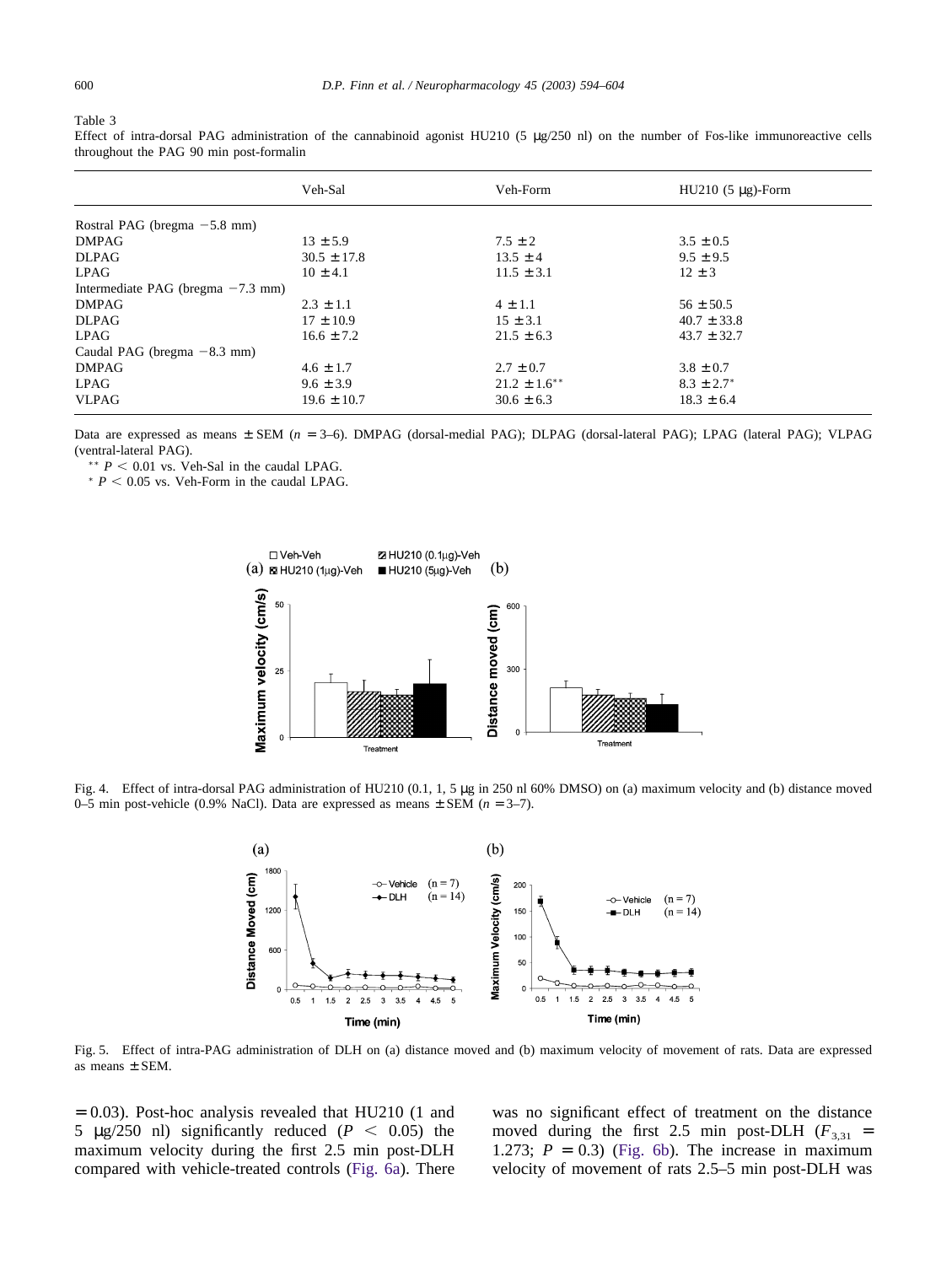#### <span id="page-7-0"></span>Table 3

Effect of intra-dorsal PAG administration of the cannabinoid agonist HU210 (5 µg/250 nl) on the number of Fos-like immunoreactive cells throughout the PAG 90 min post-formalin

|                                     | Veh-Sal         | Veh-Form          | $HU210$ (5 µg)-Form |  |  |  |
|-------------------------------------|-----------------|-------------------|---------------------|--|--|--|
| Rostral PAG (bregma $-5.8$ mm)      |                 |                   |                     |  |  |  |
| <b>DMPAG</b>                        | $13 \pm 5.9$    | $7.5 \pm 2$       | $3.5 \pm 0.5$       |  |  |  |
| <b>DLPAG</b>                        | $30.5 \pm 17.8$ | $13.5 \pm 4$      | $9.5 \pm 9.5$       |  |  |  |
| LPAG                                | $10 \pm 4.1$    | $11.5 \pm 3.1$    | $12 \pm 3$          |  |  |  |
| Intermediate PAG (bregma $-7.3$ mm) |                 |                   |                     |  |  |  |
| <b>DMPAG</b>                        | $2.3 \pm 1.1$   | $4 \pm 1.1$       | $56 \pm 50.5$       |  |  |  |
| <b>DLPAG</b>                        | $17 \pm 10.9$   | $15 \pm 3.1$      | $40.7 \pm 33.8$     |  |  |  |
| LPAG                                | $16.6 \pm 7.2$  | $21.5 \pm 6.3$    | $43.7 \pm 32.7$     |  |  |  |
| Caudal PAG (bregma $-8.3$ mm)       |                 |                   |                     |  |  |  |
| <b>DMPAG</b>                        | $4.6 \pm 1.7$   | $2.7 \pm 0.7$     | $3.8 \pm 0.7$       |  |  |  |
| LPAG                                | $9.6 \pm 3.9$   | $21.2 \pm 1.6$ ** | $8.3 \pm 2.7^*$     |  |  |  |
| <b>VLPAG</b>                        | $19.6 \pm 10.7$ | $30.6 \pm 6.3$    | $18.3 \pm 6.4$      |  |  |  |

Data are expressed as means ± SEM (*n* = 3–6). DMPAG (dorsal-medial PAG); DLPAG (dorsal-lateral PAG); LPAG (lateral PAG); VLPAG (ventral-lateral PAG).

 $*$  *P* < 0.01 vs. Veh-Sal in the caudal LPAG.

 $* P < 0.05$  vs. Veh-Form in the caudal LPAG.



Fig. 4. Effect of intra-dorsal PAG administration of HU210 (0.1, 1, 5 µg in 250 nl 60% DMSO) on (a) maximum velocity and (b) distance moved 0–5 min post-vehicle (0.9% NaCl). Data are expressed as means ± SEM (*n* = 3–7).



Fig. 5. Effect of intra-PAG administration of DLH on (a) distance moved and (b) maximum velocity of movement of rats. Data are expressed as means ± SEM.

 $= 0.03$ ). Post-hoc analysis revealed that HU210 (1 and 5  $\mu$ g/250 nl) significantly reduced ( $P < 0.05$ ) the maximum velocity during the first 2.5 min post-DLH compared with vehicle-treated controls [\(Fig. 6a\)](#page-8-0). There was no significant effect of treatment on the distance moved during the first 2.5 min post-DLH  $(F_{3,31}$  = 1.273;  $P = 0.3$ ) [\(Fig. 6b\)](#page-8-0). The increase in maximum velocity of movement of rats 2.5–5 min post-DLH was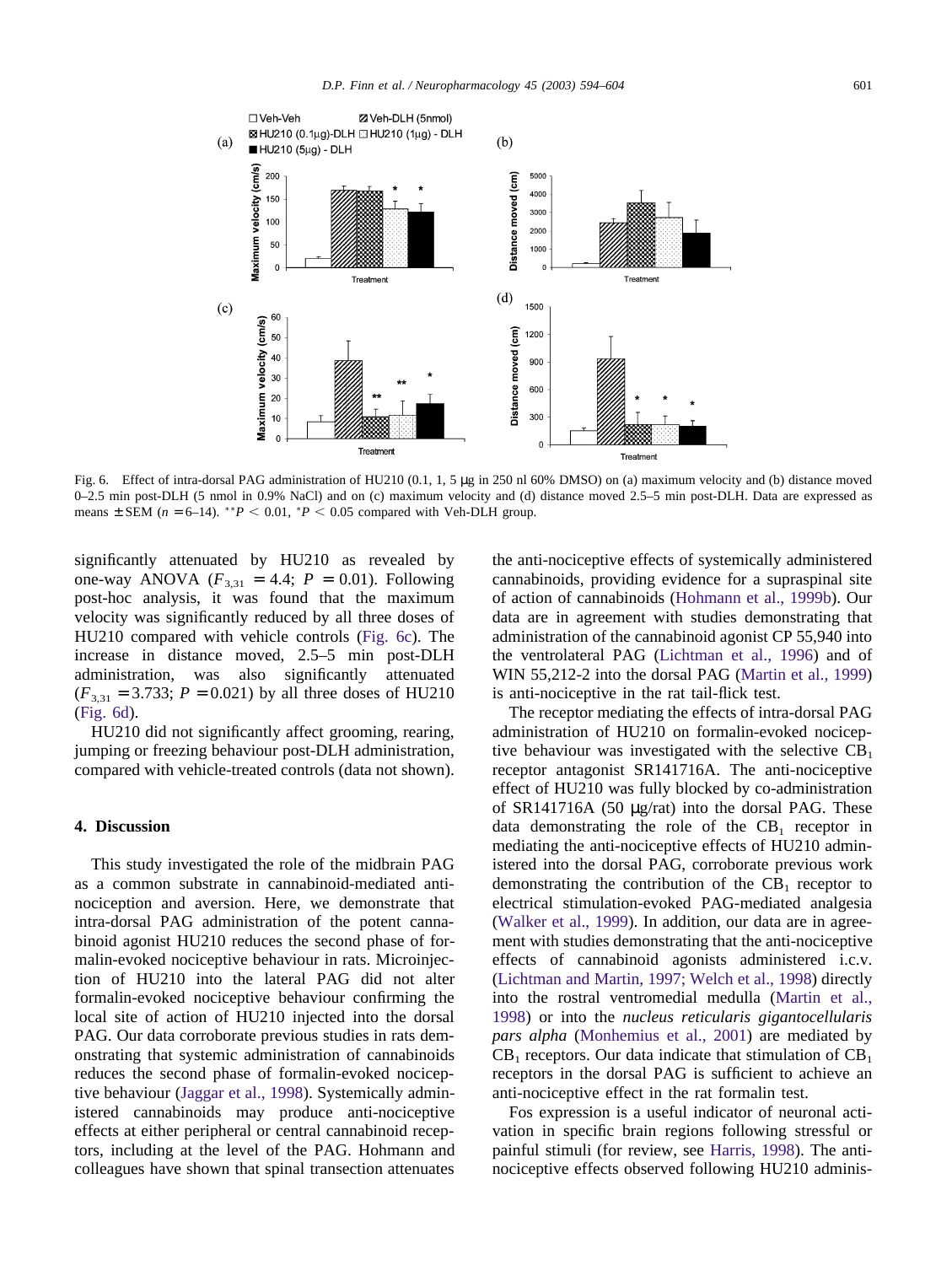<span id="page-8-0"></span>

Fig. 6. Effect of intra-dorsal PAG administration of HU210 (0.1, 1, 5 µg in 250 nl 60% DMSO) on (a) maximum velocity and (b) distance moved 0–2.5 min post-DLH (5 nmol in 0.9% NaCl) and on (c) maximum velocity and (d) distance moved 2.5–5 min post-DLH. Data are expressed as means  $\pm$  SEM ( $n = 6-14$ ). \*\* $P < 0.01$ , \* $P < 0.05$  compared with Veh-DLH group.

significantly attenuated by HU210 as revealed by one-way ANOVA  $(F_{3,31} = 4.4; P = 0.01)$ . Following post-hoc analysis, it was found that the maximum velocity was significantly reduced by all three doses of HU210 compared with vehicle controls (Fig. 6c). The increase in distance moved, 2.5–5 min post-DLH administration, was also significantly attenuated  $(F_{3,31} = 3.733; P = 0.021)$  by all three doses of HU210 (Fig. 6d).

HU210 did not significantly affect grooming, rearing, jumping or freezing behaviour post-DLH administration, compared with vehicle-treated controls (data not shown).

#### **4. Discussion**

This study investigated the role of the midbrain PAG as a common substrate in cannabinoid-mediated antinociception and aversion. Here, we demonstrate that intra-dorsal PAG administration of the potent cannabinoid agonist HU210 reduces the second phase of formalin-evoked nociceptive behaviour in rats. Microinjection of HU210 into the lateral PAG did not alter formalin-evoked nociceptive behaviour confirming the local site of action of HU210 injected into the dorsal PAG. Our data corroborate previous studies in rats demonstrating that systemic administration of cannabinoids reduces the second phase of formalin-evoked nociceptive behaviour [\(Jaggar et al., 1998\)](#page-10-0). Systemically administered cannabinoids may produce anti-nociceptive effects at either peripheral or central cannabinoid receptors, including at the level of the PAG. Hohmann and colleagues have shown that spinal transection attenuates

the anti-nociceptive effects of systemically administered cannabinoids, providing evidence for a supraspinal site of action of cannabinoids [\(Hohmann et al., 1999b\)](#page-10-0). Our data are in agreement with studies demonstrating that administration of the cannabinoid agonist CP 55,940 into the ventrolateral PAG [\(Lichtman et al., 1996\)](#page-10-0) and of WIN 55,212-2 into the dorsal PAG [\(Martin et al., 1999\)](#page-10-0) is anti-nociceptive in the rat tail-flick test.

The receptor mediating the effects of intra-dorsal PAG administration of HU210 on formalin-evoked nociceptive behaviour was investigated with the selective CB<sub>1</sub> receptor antagonist SR141716A. The anti-nociceptive effect of HU210 was fully blocked by co-administration of SR141716A (50 µg/rat) into the dorsal PAG. These data demonstrating the role of the  $CB_1$  receptor in mediating the anti-nociceptive effects of HU210 administered into the dorsal PAG, corroborate previous work demonstrating the contribution of the  $CB_1$  receptor to electrical stimulation-evoked PAG-mediated analgesia [\(Walker et al., 1999\)](#page-11-0). In addition, our data are in agreement with studies demonstrating that the anti-nociceptive effects of cannabinoid agonists administered i.c.v. [\(Lichtman and Martin, 1997; Welch et al., 1998\)](#page-10-0) directly into the rostral ventromedial medulla [\(Martin et al.,](#page-10-0) [1998\)](#page-10-0) or into the *nucleus reticularis gigantocellularis pars alpha* [\(Monhemius et al., 2001\)](#page-10-0) are mediated by  $CB<sub>1</sub>$  receptors. Our data indicate that stimulation of  $CB<sub>1</sub>$ receptors in the dorsal PAG is sufficient to achieve an anti-nociceptive effect in the rat formalin test.

Fos expression is a useful indicator of neuronal activation in specific brain regions following stressful or painful stimuli (for review, see [Harris, 1998\)](#page-10-0). The antinociceptive effects observed following HU210 adminis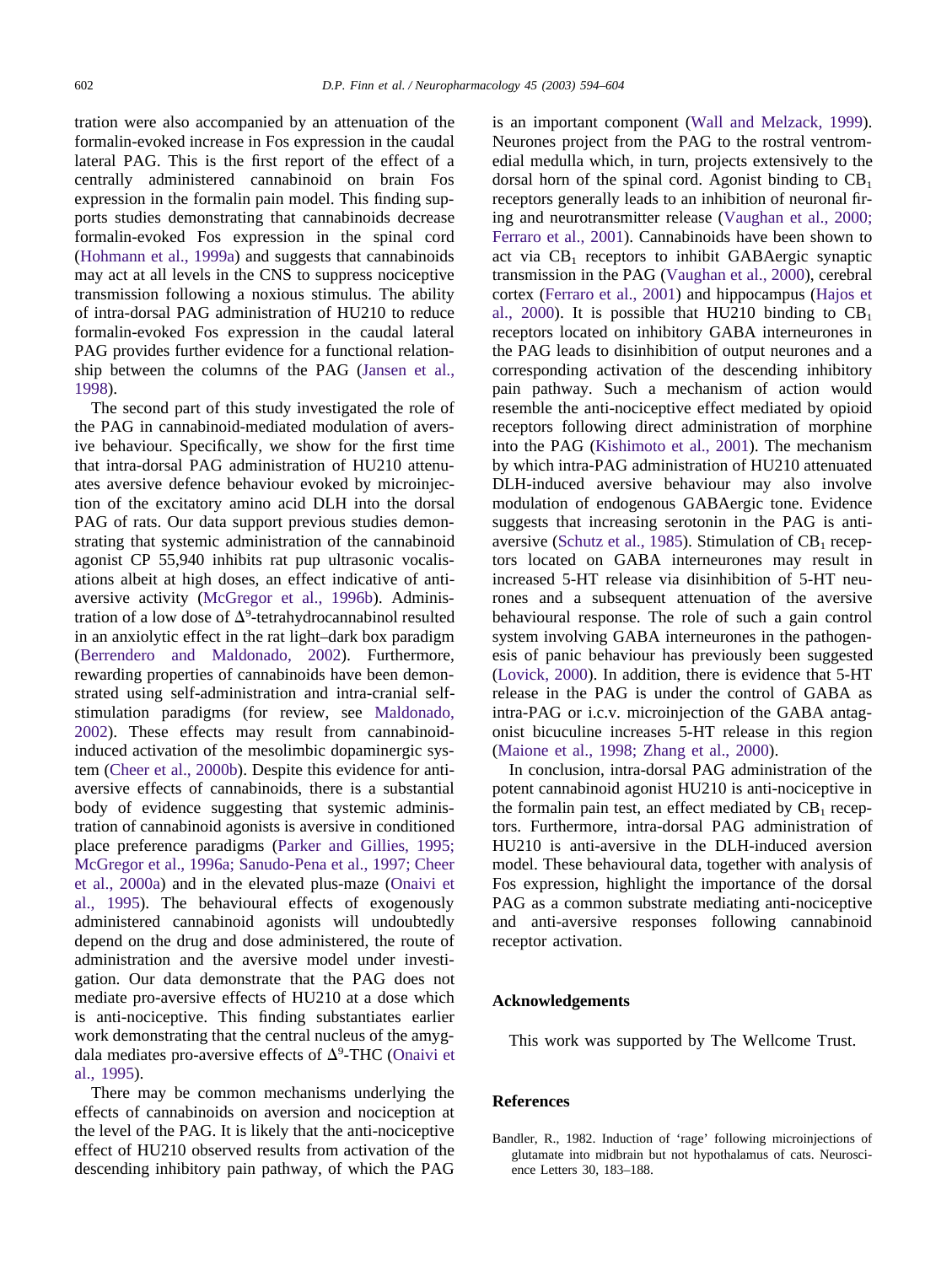<span id="page-9-0"></span>tration were also accompanied by an attenuation of the formalin-evoked increase in Fos expression in the caudal lateral PAG. This is the first report of the effect of a centrally administered cannabinoid on brain Fos expression in the formalin pain model. This finding supports studies demonstrating that cannabinoids decrease formalin-evoked Fos expression in the spinal cord [\(Hohmann et al., 1999a\)](#page-10-0) and suggests that cannabinoids may act at all levels in the CNS to suppress nociceptive transmission following a noxious stimulus. The ability of intra-dorsal PAG administration of HU210 to reduce formalin-evoked Fos expression in the caudal lateral PAG provides further evidence for a functional relationship between the columns of the PAG [\(Jansen et al.,](#page-10-0) [1998\)](#page-10-0).

The second part of this study investigated the role of the PAG in cannabinoid-mediated modulation of aversive behaviour. Specifically, we show for the first time that intra-dorsal PAG administration of HU210 attenuates aversive defence behaviour evoked by microinjection of the excitatory amino acid DLH into the dorsal PAG of rats. Our data support previous studies demonstrating that systemic administration of the cannabinoid agonist CP 55,940 inhibits rat pup ultrasonic vocalisations albeit at high doses, an effect indicative of antiaversive activity [\(McGregor et al., 1996b\)](#page-10-0). Administration of a low dose of  $\Delta^9$ -tetrahydrocannabinol resulted in an anxiolytic effect in the rat light–dark box paradigm [\(Berrendero and Maldonado, 2002\)](#page-10-0). Furthermore, rewarding properties of cannabinoids have been demonstrated using self-administration and intra-cranial selfstimulation paradigms (for review, see [Maldonado,](#page-10-0) [2002\)](#page-10-0). These effects may result from cannabinoidinduced activation of the mesolimbic dopaminergic system [\(Cheer et al., 2000b\)](#page-10-0). Despite this evidence for antiaversive effects of cannabinoids, there is a substantial body of evidence suggesting that systemic administration of cannabinoid agonists is aversive in conditioned place preference paradigms [\(Parker and Gillies, 1995;](#page-10-0) [McGregor et al., 1996a; Sanudo-Pena et al., 1997; Cheer](#page-10-0) [et al., 2000a\)](#page-10-0) and in the elevated plus-maze [\(Onaivi et](#page-10-0) [al., 1995\)](#page-10-0). The behavioural effects of exogenously administered cannabinoid agonists will undoubtedly depend on the drug and dose administered, the route of administration and the aversive model under investigation. Our data demonstrate that the PAG does not mediate pro-aversive effects of HU210 at a dose which is anti-nociceptive. This finding substantiates earlier work demonstrating that the central nucleus of the amygdala mediates pro-aversive effects of  $\Delta^9$ -THC [\(Onaivi et](#page-10-0) [al., 1995\)](#page-10-0).

There may be common mechanisms underlying the effects of cannabinoids on aversion and nociception at the level of the PAG. It is likely that the anti-nociceptive effect of HU210 observed results from activation of the descending inhibitory pain pathway, of which the PAG is an important component [\(Wall and Melzack, 1999\)](#page-11-0). Neurones project from the PAG to the rostral ventromedial medulla which, in turn, projects extensively to the dorsal horn of the spinal cord. Agonist binding to  $CB_1$ receptors generally leads to an inhibition of neuronal firing and neurotransmitter release [\(Vaughan et al., 2000;](#page-11-0) [Ferraro et al., 2001\)](#page-11-0). Cannabinoids have been shown to act via  $CB_1$  receptors to inhibit GABAergic synaptic transmission in the PAG [\(Vaughan et al., 2000\)](#page-11-0), cerebral cortex [\(Ferraro et al., 2001\)](#page-10-0) and hippocampus [\(Hajos et](#page-10-0) [al., 2000\)](#page-10-0). It is possible that HU210 binding to  $CB_1$ receptors located on inhibitory GABA interneurones in the PAG leads to disinhibition of output neurones and a corresponding activation of the descending inhibitory pain pathway. Such a mechanism of action would resemble the anti-nociceptive effect mediated by opioid receptors following direct administration of morphine into the PAG [\(Kishimoto et al., 2001\)](#page-10-0). The mechanism by which intra-PAG administration of HU210 attenuated DLH-induced aversive behaviour may also involve modulation of endogenous GABAergic tone. Evidence suggests that increasing serotonin in the PAG is anti-aversive [\(Schutz et al., 1985\)](#page-11-0). Stimulation of  $CB<sub>1</sub>$  receptors located on GABA interneurones may result in increased 5-HT release via disinhibition of 5-HT neurones and a subsequent attenuation of the aversive behavioural response. The role of such a gain control system involving GABA interneurones in the pathogenesis of panic behaviour has previously been suggested [\(Lovick, 2000\)](#page-10-0). In addition, there is evidence that 5-HT release in the PAG is under the control of GABA as intra-PAG or i.c.v. microinjection of the GABA antagonist bicuculine increases 5-HT release in this region [\(Maione et al., 1998; Zhang et al., 2000\)](#page-10-0).

In conclusion, intra-dorsal PAG administration of the potent cannabinoid agonist HU210 is anti-nociceptive in the formalin pain test, an effect mediated by  $CB_1$  receptors. Furthermore, intra-dorsal PAG administration of HU210 is anti-aversive in the DLH-induced aversion model. These behavioural data, together with analysis of Fos expression, highlight the importance of the dorsal PAG as a common substrate mediating anti-nociceptive and anti-aversive responses following cannabinoid receptor activation.

## **Acknowledgements**

This work was supported by The Wellcome Trust.

## **References**

Bandler, R., 1982. Induction of 'rage' following microinjections of glutamate into midbrain but not hypothalamus of cats. Neuroscience Letters 30, 183–188.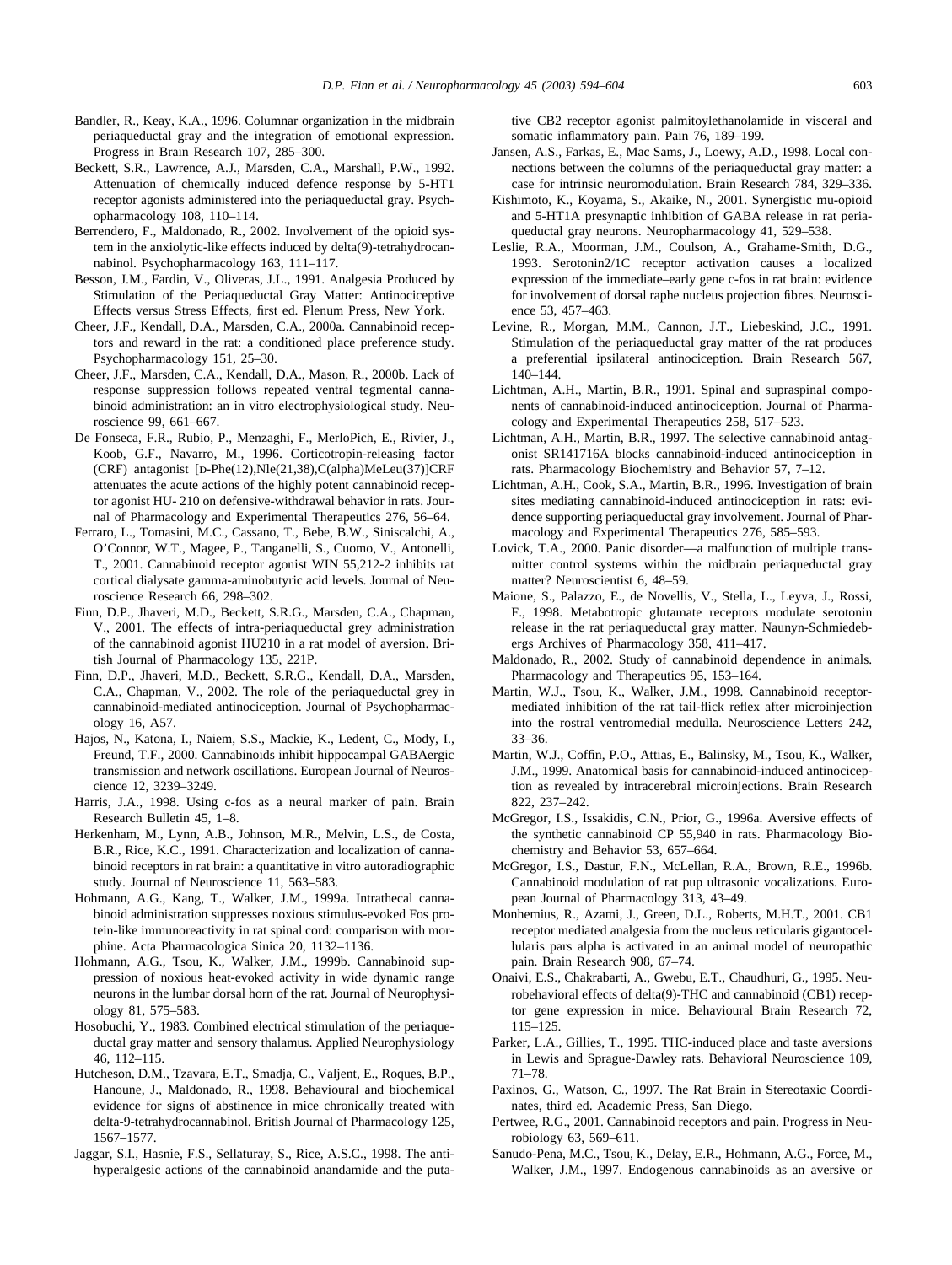- <span id="page-10-0"></span>Bandler, R., Keay, K.A., 1996. Columnar organization in the midbrain periaqueductal gray and the integration of emotional expression. Progress in Brain Research 107, 285–300.
- Beckett, S.R., Lawrence, A.J., Marsden, C.A., Marshall, P.W., 1992. Attenuation of chemically induced defence response by 5-HT1 receptor agonists administered into the periaqueductal gray. Psychopharmacology 108, 110–114.
- Berrendero, F., Maldonado, R., 2002. Involvement of the opioid system in the anxiolytic-like effects induced by delta(9)-tetrahydrocannabinol. Psychopharmacology 163, 111–117.
- Besson, J.M., Fardin, V., Oliveras, J.L., 1991. Analgesia Produced by Stimulation of the Periaqueductal Gray Matter: Antinociceptive Effects versus Stress Effects, first ed. Plenum Press, New York.
- Cheer, J.F., Kendall, D.A., Marsden, C.A., 2000a. Cannabinoid receptors and reward in the rat: a conditioned place preference study. Psychopharmacology 151, 25–30.
- Cheer, J.F., Marsden, C.A., Kendall, D.A., Mason, R., 2000b. Lack of response suppression follows repeated ventral tegmental cannabinoid administration: an in vitro electrophysiological study. Neuroscience 99, 661–667.
- De Fonseca, F.R., Rubio, P., Menzaghi, F., MerloPich, E., Rivier, J., Koob, G.F., Navarro, M., 1996. Corticotropin-releasing factor (CRF) antagonist [D-Phe(12),Nle(21,38),C(alpha)MeLeu(37)]CRF attenuates the acute actions of the highly potent cannabinoid receptor agonist HU- 210 on defensive-withdrawal behavior in rats. Journal of Pharmacology and Experimental Therapeutics 276, 56–64.
- Ferraro, L., Tomasini, M.C., Cassano, T., Bebe, B.W., Siniscalchi, A., O'Connor, W.T., Magee, P., Tanganelli, S., Cuomo, V., Antonelli, T., 2001. Cannabinoid receptor agonist WIN 55,212-2 inhibits rat cortical dialysate gamma-aminobutyric acid levels. Journal of Neuroscience Research 66, 298–302.
- Finn, D.P., Jhaveri, M.D., Beckett, S.R.G., Marsden, C.A., Chapman, V., 2001. The effects of intra-periaqueductal grey administration of the cannabinoid agonist HU210 in a rat model of aversion. British Journal of Pharmacology 135, 221P.
- Finn, D.P., Jhaveri, M.D., Beckett, S.R.G., Kendall, D.A., Marsden, C.A., Chapman, V., 2002. The role of the periaqueductal grey in cannabinoid-mediated antinociception. Journal of Psychopharmacology 16, A57.
- Hajos, N., Katona, I., Naiem, S.S., Mackie, K., Ledent, C., Mody, I., Freund, T.F., 2000. Cannabinoids inhibit hippocampal GABAergic transmission and network oscillations. European Journal of Neuroscience 12, 3239–3249.
- Harris, J.A., 1998. Using c-fos as a neural marker of pain. Brain Research Bulletin 45, 1–8.
- Herkenham, M., Lynn, A.B., Johnson, M.R., Melvin, L.S., de Costa, B.R., Rice, K.C., 1991. Characterization and localization of cannabinoid receptors in rat brain: a quantitative in vitro autoradiographic study. Journal of Neuroscience 11, 563–583.
- Hohmann, A.G., Kang, T., Walker, J.M., 1999a. Intrathecal cannabinoid administration suppresses noxious stimulus-evoked Fos protein-like immunoreactivity in rat spinal cord: comparison with morphine. Acta Pharmacologica Sinica 20, 1132–1136.
- Hohmann, A.G., Tsou, K., Walker, J.M., 1999b. Cannabinoid suppression of noxious heat-evoked activity in wide dynamic range neurons in the lumbar dorsal horn of the rat. Journal of Neurophysiology 81, 575–583.
- Hosobuchi, Y., 1983. Combined electrical stimulation of the periaqueductal gray matter and sensory thalamus. Applied Neurophysiology 46, 112–115.
- Hutcheson, D.M., Tzavara, E.T., Smadja, C., Valjent, E., Roques, B.P., Hanoune, J., Maldonado, R., 1998. Behavioural and biochemical evidence for signs of abstinence in mice chronically treated with delta-9-tetrahydrocannabinol. British Journal of Pharmacology 125, 1567–1577.
- Jaggar, S.I., Hasnie, F.S., Sellaturay, S., Rice, A.S.C., 1998. The antihyperalgesic actions of the cannabinoid anandamide and the puta-

tive CB2 receptor agonist palmitoylethanolamide in visceral and somatic inflammatory pain. Pain 76, 189–199.

- Jansen, A.S., Farkas, E., Mac Sams, J., Loewy, A.D., 1998. Local connections between the columns of the periaqueductal gray matter: a case for intrinsic neuromodulation. Brain Research 784, 329–336.
- Kishimoto, K., Koyama, S., Akaike, N., 2001. Synergistic mu-opioid and 5-HT1A presynaptic inhibition of GABA release in rat periaqueductal gray neurons. Neuropharmacology 41, 529–538.
- Leslie, R.A., Moorman, J.M., Coulson, A., Grahame-Smith, D.G., 1993. Serotonin2/1C receptor activation causes a localized expression of the immediate–early gene c-fos in rat brain: evidence for involvement of dorsal raphe nucleus projection fibres. Neuroscience 53, 457–463.
- Levine, R., Morgan, M.M., Cannon, J.T., Liebeskind, J.C., 1991. Stimulation of the periaqueductal gray matter of the rat produces a preferential ipsilateral antinociception. Brain Research 567, 140–144.
- Lichtman, A.H., Martin, B.R., 1991. Spinal and supraspinal components of cannabinoid-induced antinociception. Journal of Pharmacology and Experimental Therapeutics 258, 517–523.
- Lichtman, A.H., Martin, B.R., 1997. The selective cannabinoid antagonist SR141716A blocks cannabinoid-induced antinociception in rats. Pharmacology Biochemistry and Behavior 57, 7–12.
- Lichtman, A.H., Cook, S.A., Martin, B.R., 1996. Investigation of brain sites mediating cannabinoid-induced antinociception in rats: evidence supporting periaqueductal gray involvement. Journal of Pharmacology and Experimental Therapeutics 276, 585–593.
- Lovick, T.A., 2000. Panic disorder—a malfunction of multiple transmitter control systems within the midbrain periaqueductal gray matter? Neuroscientist 6, 48–59.
- Maione, S., Palazzo, E., de Novellis, V., Stella, L., Leyva, J., Rossi, F., 1998. Metabotropic glutamate receptors modulate serotonin release in the rat periaqueductal gray matter. Naunyn-Schmiedebergs Archives of Pharmacology 358, 411–417.
- Maldonado, R., 2002. Study of cannabinoid dependence in animals. Pharmacology and Therapeutics 95, 153–164.
- Martin, W.J., Tsou, K., Walker, J.M., 1998. Cannabinoid receptormediated inhibition of the rat tail-flick reflex after microinjection into the rostral ventromedial medulla. Neuroscience Letters 242, 33–36.
- Martin, W.J., Coffin, P.O., Attias, E., Balinsky, M., Tsou, K., Walker, J.M., 1999. Anatomical basis for cannabinoid-induced antinociception as revealed by intracerebral microinjections. Brain Research 822, 237–242.
- McGregor, I.S., Issakidis, C.N., Prior, G., 1996a. Aversive effects of the synthetic cannabinoid CP 55,940 in rats. Pharmacology Biochemistry and Behavior 53, 657–664.
- McGregor, I.S., Dastur, F.N., McLellan, R.A., Brown, R.E., 1996b. Cannabinoid modulation of rat pup ultrasonic vocalizations. European Journal of Pharmacology 313, 43–49.
- Monhemius, R., Azami, J., Green, D.L., Roberts, M.H.T., 2001. CB1 receptor mediated analgesia from the nucleus reticularis gigantocellularis pars alpha is activated in an animal model of neuropathic pain. Brain Research 908, 67–74.
- Onaivi, E.S., Chakrabarti, A., Gwebu, E.T., Chaudhuri, G., 1995. Neurobehavioral effects of delta(9)-THC and cannabinoid (CB1) receptor gene expression in mice. Behavioural Brain Research 72, 115–125.
- Parker, L.A., Gillies, T., 1995. THC-induced place and taste aversions in Lewis and Sprague-Dawley rats. Behavioral Neuroscience 109, 71–78.
- Paxinos, G., Watson, C., 1997. The Rat Brain in Stereotaxic Coordinates, third ed. Academic Press, San Diego.
- Pertwee, R.G., 2001. Cannabinoid receptors and pain. Progress in Neurobiology 63, 569–611.
- Sanudo-Pena, M.C., Tsou, K., Delay, E.R., Hohmann, A.G., Force, M., Walker, J.M., 1997. Endogenous cannabinoids as an aversive or